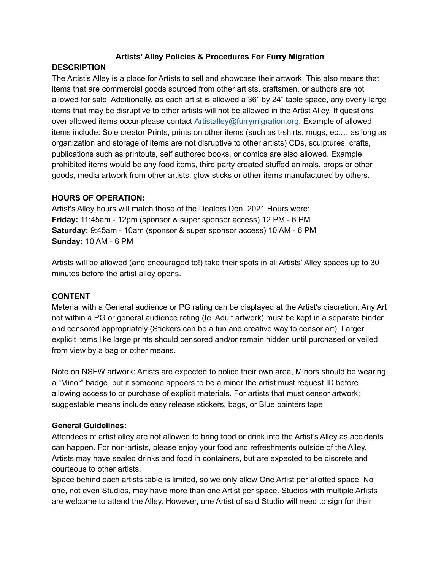### **Artists' Alley Policies & Procedures For Furry Migration**

### **DESCRIPTION**

The Artist's Alley is a place for Artists to sell and showcase their artwork. This also means that items that are commercial goods sourced from other artists, craftsmen, or authors are not allowed for sale. Additionally, as each artist is allowed a 36" by 24" table space, any overly large items that may be disruptive to other artists will not be allowed in the Artist Alley. If questions over allowed items occur please contact Artistalley@furrymigration.org. Example of allowed items include: Sole creator Prints, prints on other items (such as t-shirts, mugs, ect… as long as organization and storage of items are not disruptive to other artists) CDs, sculptures, crafts, publications such as printouts, self authored books, or comics are also allowed. Example prohibited items would be any food items, third party created stuffed animals, props or other goods, media artwork from other artists, glow sticks or other items manufactured by others.

### **HOURS OF OPERATION:**

Artist's Alley hours will match those of the Dealers Den. 2021 Hours were: **Friday:** 11:45am - 12pm (sponsor & super sponsor access) 12 PM - 6 PM **Saturday:** 9:45am - 10am (sponsor & super sponsor access) 10 AM - 6 PM **Sunday:** 10 AM - 6 PM

Artists will be allowed (and encouraged to!) take their spots in all Artists' Alley spaces up to 30 minutes before the artist alley opens.

### **CONTENT**

Material with a General audience or PG rating can be displayed at the Artist's discretion. Any Art not within a PG or general audience rating (Ie. Adult artwork) must be kept in a separate binder and censored appropriately (Stickers can be a fun and creative way to censor art). Larger explicit items like large prints should censored and/or remain hidden until purchased or veiled from view by a bag or other means.

Note on NSFW artwork: Artists are expected to police their own area, Minors should be wearing a "Minor" badge, but if someone appears to be a minor the artist must request ID before allowing access to or purchase of explicit materials. For artists that must censor artwork; suggestable means include easy release stickers, bags, or Blue painters tape.

## **General Guidelines:**

Attendees of artist alley are not allowed to bring food or drink into the Artist's Alley as accidents can happen. For non-artists, please enjoy your food and refreshments outside of the Alley. Artists may have sealed drinks and food in containers, but are expected to be discrete and courteous to other artists.

Space behind each artists table is limited, so we only allow One Artist per allotted space. No one, not even Studios, may have more than one Artist per space. Studios with multiple Artists are welcome to attend the Alley. However, one Artist of said Studio will need to sign for their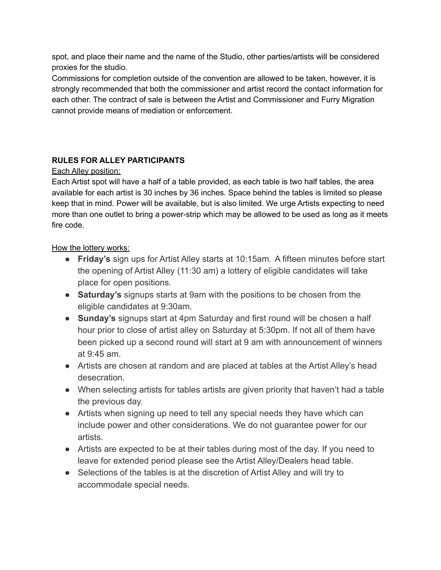spot, and place their name and the name of the Studio, other parties/artists will be considered proxies for the studio.

Commissions for completion outside of the convention are allowed to be taken, however, it is strongly recommended that both the commissioner and artist record the contact information for each other. The contract of sale is between the Artist and Commissioner and Furry Migration cannot provide means of mediation or enforcement.

# **RULES FOR ALLEY PARTICIPANTS**

## Each Alley position:

Each Artist spot will have a half of a table provided, as each table is two half tables, the area available for each artist is 30 inches by 36 inches. Space behind the tables is limited so please keep that in mind. Power will be available, but is also limited. We urge Artists expecting to need more than one outlet to bring a power-strip which may be allowed to be used as long as it meets fire code.

# How the lottery works:

- **Friday's** sign ups for Artist Alley starts at 10:15am. A fifteen minutes before start the opening of Artist Alley (11:30 am) a lottery of eligible candidates will take place for open positions.
- **Saturday's** signups starts at 9am with the positions to be chosen from the eligible candidates at 9:30am.
- **Sunday's** signups start at 4pm Saturday and first round will be chosen a half hour prior to close of artist alley on Saturday at 5:30pm. If not all of them have been picked up a second round will start at 9 am with announcement of winners at 9:45 am.
- Artists are chosen at random and are placed at tables at the Artist Alley's head desecration.
- When selecting artists for tables artists are given priority that haven't had a table the previous day.
- Artists when signing up need to tell any special needs they have which can include power and other considerations. We do not guarantee power for our artists.
- Artists are expected to be at their tables during most of the day. If you need to leave for extended period please see the Artist Alley/Dealers head table.
- Selections of the tables is at the discretion of Artist Alley and will try to accommodate special needs.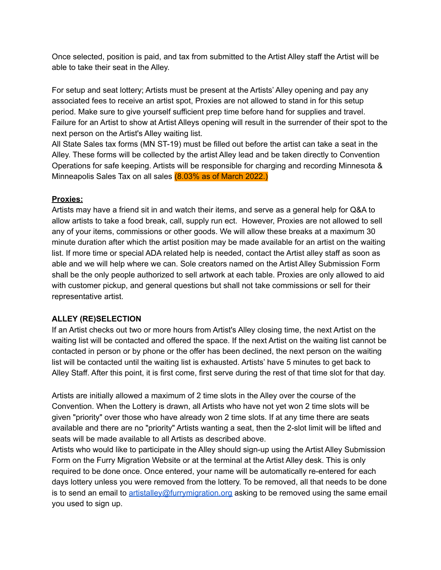Once selected, position is paid, and tax from submitted to the Artist Alley staff the Artist will be able to take their seat in the Alley.

For setup and seat lottery; Artists must be present at the Artists' Alley opening and pay any associated fees to receive an artist spot, Proxies are not allowed to stand in for this setup period. Make sure to give yourself sufficient prep time before hand for supplies and travel. Failure for an Artist to show at Artist Alleys opening will result in the surrender of their spot to the next person on the Artist's Alley waiting list.

All State Sales tax forms (MN ST-19) must be filled out before the artist can take a seat in the Alley. These forms will be collected by the artist Alley lead and be taken directly to Convention Operations for safe keeping. Artists will be responsible for charging and recording Minnesota & Minneapolis Sales Tax on all sales (8.03% as of March 2022.)

## **Proxies:**

Artists may have a friend sit in and watch their items, and serve as a general help for Q&A to allow artists to take a food break, call, supply run ect. However, Proxies are not allowed to sell any of your items, commissions or other goods. We will allow these breaks at a maximum 30 minute duration after which the artist position may be made available for an artist on the waiting list. If more time or special ADA related help is needed, contact the Artist alley staff as soon as able and we will help where we can. Sole creators named on the Artist Alley Submission Form shall be the only people authorized to sell artwork at each table. Proxies are only allowed to aid with customer pickup, and general questions but shall not take commissions or sell for their representative artist.

## **ALLEY (RE)SELECTION**

If an Artist checks out two or more hours from Artist's Alley closing time, the next Artist on the waiting list will be contacted and offered the space. If the next Artist on the waiting list cannot be contacted in person or by phone or the offer has been declined, the next person on the waiting list will be contacted until the waiting list is exhausted. Artists' have 5 minutes to get back to Alley Staff. After this point, it is first come, first serve during the rest of that time slot for that day.

Artists are initially allowed a maximum of 2 time slots in the Alley over the course of the Convention. When the Lottery is drawn, all Artists who have not yet won 2 time slots will be given "priority" over those who have already won 2 time slots. If at any time there are seats available and there are no "priority" Artists wanting a seat, then the 2-slot limit will be lifted and seats will be made available to all Artists as described above.

Artists who would like to participate in the Alley should sign-up using the Artist Alley Submission Form on the Furry Migration Website or at the terminal at the Artist Alley desk. This is only required to be done once. Once entered, your name will be automatically re-entered for each days lottery unless you were removed from the lottery. To be removed, all that needs to be done is to send an email to [artistalley@furrymigration.org](mailto:artistalley@furrymigration.org) asking to be removed using the same email you used to sign up.